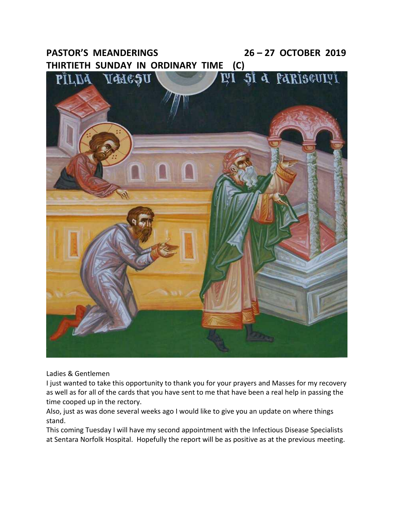# **PASTOR'S MEANDERINGS 26 – 27 OCTOBER 2019 THIRTIETH SUNDAY IN ORDINARY TIME (C)**



Ladies & Gentlemen

I just wanted to take this opportunity to thank you for your prayers and Masses for my recovery as well as for all of the cards that you have sent to me that have been a real help in passing the time cooped up in the rectory.

Also, just as was done several weeks ago I would like to give you an update on where things stand.

This coming Tuesday I will have my second appointment with the Infectious Disease Specialists at Sentara Norfolk Hospital. Hopefully the report will be as positive as at the previous meeting.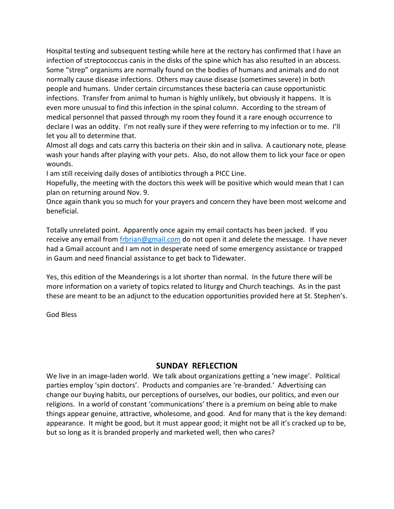Hospital testing and subsequent testing while here at the rectory has confirmed that I have an infection of streptococcus canis in the disks of the spine which has also resulted in an abscess. Some "strep" organisms are normally found on the bodies of humans and animals and do not normally cause disease infections. Others may cause disease (sometimes severe) in both people and humans. Under certain circumstances these bacteria can cause opportunistic infections. Transfer from animal to human is highly unlikely, but obviously it happens. It is even more unusual to find this infection in the spinal column. According to the stream of medical personnel that passed through my room they found it a rare enough occurrence to declare I was an oddity. I'm not really sure if they were referring to my infection or to me. I'll let you all to determine that.

Almost all dogs and cats carry this bacteria on their skin and in saliva. A cautionary note, please wash your hands after playing with your pets. Also, do not allow them to lick your face or open wounds.

I am still receiving daily doses of antibiotics through a PICC Line.

Hopefully, the meeting with the doctors this week will be positive which would mean that I can plan on returning around Nov. 9.

Once again thank you so much for your prayers and concern they have been most welcome and beneficial.

Totally unrelated point. Apparently once again my email contacts has been jacked. If you receive any email from [frbrian@gmail.com](mailto:frbrian@gmail.com) do not open it and delete the message. I have never had a Gmail account and I am not in desperate need of some emergency assistance or trapped in Gaum and need financial assistance to get back to Tidewater.

Yes, this edition of the Meanderings is a lot shorter than normal. In the future there will be more information on a variety of topics related to liturgy and Church teachings. As in the past these are meant to be an adjunct to the education opportunities provided here at St. Stephen's.

God Bless

# **SUNDAY REFLECTION**

We live in an image-laden world. We talk about organizations getting a 'new image'. Political parties employ 'spin doctors'. Products and companies are 're-branded.' Advertising can change our buying habits, our perceptions of ourselves, our bodies, our politics, and even our religions. In a world of constant 'communications' there is a premium on being able to make things appear genuine, attractive, wholesome, and good. And for many that is the key demand: appearance. It might be good, but it must appear good; it might not be all it's cracked up to be, but so long as it is branded properly and marketed well, then who cares?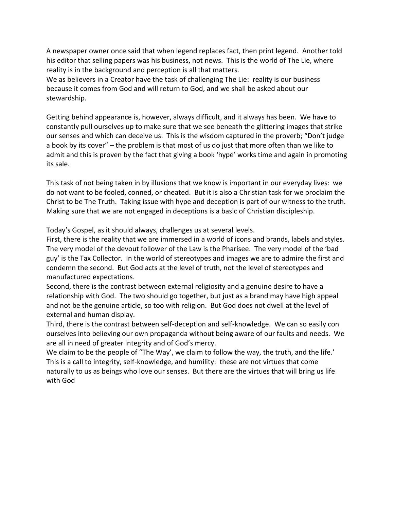A newspaper owner once said that when legend replaces fact, then print legend. Another told his editor that selling papers was his business, not news. This is the world of The Lie, where reality is in the background and perception is all that matters.

We as believers in a Creator have the task of challenging The Lie: reality is our business because it comes from God and will return to God, and we shall be asked about our stewardship.

Getting behind appearance is, however, always difficult, and it always has been. We have to constantly pull ourselves up to make sure that we see beneath the glittering images that strike our senses and which can deceive us. This is the wisdom captured in the proverb; "Don't judge a book by its cover" – the problem is that most of us do just that more often than we like to admit and this is proven by the fact that giving a book 'hype' works time and again in promoting its sale.

This task of not being taken in by illusions that we know is important in our everyday lives: we do not want to be fooled, conned, or cheated. But it is also a Christian task for we proclaim the Christ to be The Truth. Taking issue with hype and deception is part of our witness to the truth. Making sure that we are not engaged in deceptions is a basic of Christian discipleship.

Today's Gospel, as it should always, challenges us at several levels.

First, there is the reality that we are immersed in a world of icons and brands, labels and styles. The very model of the devout follower of the Law is the Pharisee. The very model of the 'bad guy' is the Tax Collector. In the world of stereotypes and images we are to admire the first and condemn the second. But God acts at the level of truth, not the level of stereotypes and manufactured expectations.

Second, there is the contrast between external religiosity and a genuine desire to have a relationship with God. The two should go together, but just as a brand may have high appeal and not be the genuine article, so too with religion. But God does not dwell at the level of external and human display.

Third, there is the contrast between self-deception and self-knowledge. We can so easily con ourselves into believing our own propaganda without being aware of our faults and needs. We are all in need of greater integrity and of God's mercy.

We claim to be the people of "The Way', we claim to follow the way, the truth, and the life.' This is a call to integrity, self-knowledge, and humility: these are not virtues that come naturally to us as beings who love our senses. But there are the virtues that will bring us life with God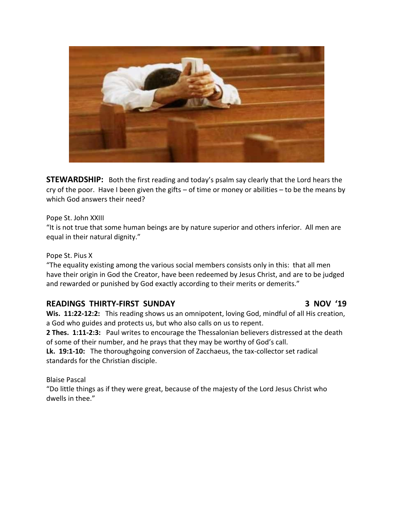

**STEWARDSHIP:** Both the first reading and today's psalm say clearly that the Lord hears the cry of the poor. Have I been given the gifts – of time or money or abilities – to be the means by which God answers their need?

Pope St. John XXIII

"It is not true that some human beings are by nature superior and others inferior. All men are equal in their natural dignity."

### Pope St. Pius X

"The equality existing among the various social members consists only in this: that all men have their origin in God the Creator, have been redeemed by Jesus Christ, and are to be judged and rewarded or punished by God exactly according to their merits or demerits."

# **READINGS THIRTY-FIRST SUNDAY 3 NOV '19**

**Wis. 11:22-12:2:** This reading shows us an omnipotent, loving God, mindful of all His creation, a God who guides and protects us, but who also calls on us to repent.

**2 Thes. 1:11-2:3:** Paul writes to encourage the Thessalonian believers distressed at the death of some of their number, and he prays that they may be worthy of God's call.

**Lk. 19:1-10:** The thoroughgoing conversion of Zacchaeus, the tax-collector set radical standards for the Christian disciple.

Blaise Pascal

"Do little things as if they were great, because of the majesty of the Lord Jesus Christ who dwells in thee."